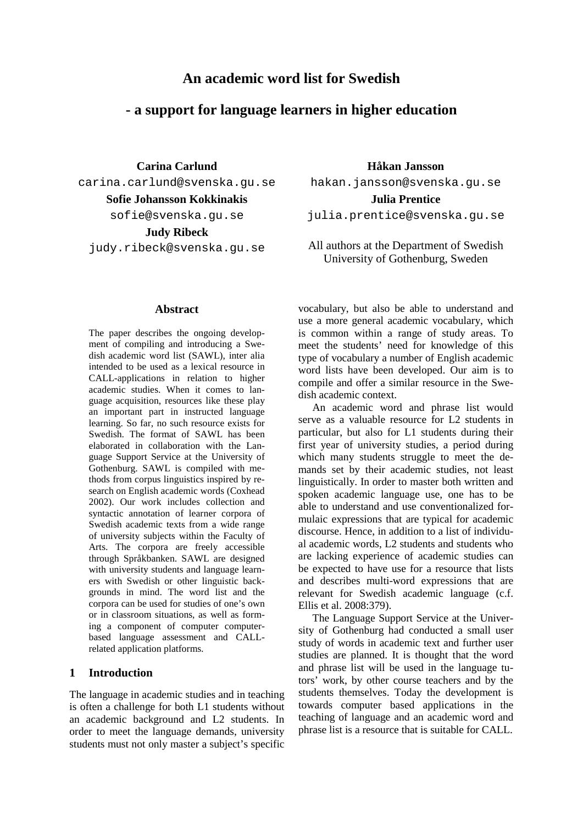# **An academic word list for Swedish**

# **- a support for language learners in higher education**

**Carina Carlund**

carina.carlund@svenska.gu.se

**Sofie Johansson Kokkinakis**

sofie@svenska.gu.se

**Judy Ribeck**

judy.ribeck@svenska.gu.se

#### **Abstract**

The paper describes the ongoing development of compiling and introducing a Swedish academic word list (SAWL), inter alia intended to be used as a lexical resource in CALL-applications in relation to higher academic studies. When it comes to language acquisition, resources like these play an important part in instructed language learning. So far, no such resource exists for Swedish. The format of SAWL has been elaborated in collaboration with the Language Support Service at the University of Gothenburg. SAWL is compiled with methods from corpus linguistics inspired by research on English academic words (Coxhead 2002). Our work includes collection and syntactic annotation of learner corpora of Swedish academic texts from a wide range of university subjects within the Faculty of Arts. The corpora are freely accessible through Språkbanken. SAWL are designed with university students and language learners with Swedish or other linguistic backgrounds in mind. The word list and the corpora can be used for studies of one's own or in classroom situations, as well as forming a component of computerbased language assessment and CALLrelated application platforms.

## **1 Introduction**

The language in academic studies and in teaching is often a challenge for both L1 students without an academic background and L2 students. In order to meet the language demands, university students must not only master a subject's specific hakan.jansson@svenska.gu.se **Julia Prentice**

**Håkan Jansson**

julia.prentice@svenska.gu.se

All authors at the Department of Swedish University of Gothenburg, Sweden

vocabulary, but also be able to understand and use a more general academic vocabulary, which is common within a range of study areas. To meet the students' need for knowledge of this type of vocabulary a number of English academic word lists have been developed. Our aim is to compile and offer a similar resource in the Swedish academic context.

An academic word and phrase list would serve as a valuable resource for L2 students in particular, but also for L1 students during their first year of university studies, a period during which many students struggle to meet the demands set by their academic studies, not least linguistically. In order to master both written and spoken academic language use, one has to be able to understand and use conventionalized formulaic expressions that are typical for academic discourse. Hence, in addition to a list of individual academic words, L2 students and students who are lacking experience of academic studies can be expected to have use for a resource that lists and describes multi-word expressions that are relevant for Swedish academic language (c.f. Ellis et al. 2008:379).

The Language Support Service at the University of Gothenburg had conducted a small user study of words in academic text and further user studies are planned. It is thought that the word and phrase list will be used in the language tutors' work, by other course teachers and by the students themselves. Today the development is towards computer based applications in the teaching of language and an academic word and phrase list is a resource that is suitable for CALL.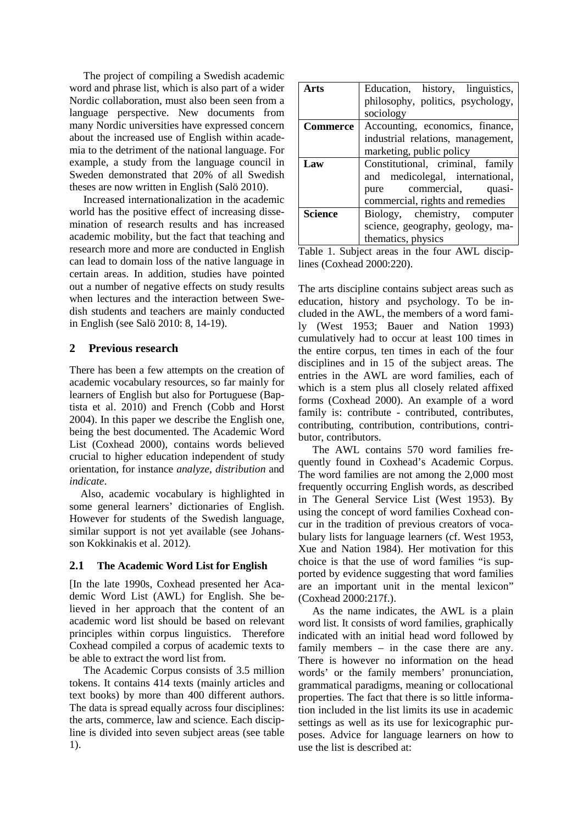The project of compiling a Swedish academic word and phrase list, which is also part of a wider Nordic collaboration, must also been seen from a language perspective. New documents from many Nordic universities have expressed concern about the increased use of English within academia to the detriment of the national language. For example, a study from the language council in Sweden demonstrated that 20% of all Swedish theses are now written in English (Salö 2010).

Increased internationalization in the academic world has the positive effect of increasing dissemination of research results and has increased academic mobility, but the fact that teaching and research more and more are conducted in English can lead to domain loss of the native language in certain areas. In addition, studies have pointed out a number of negative effects on study results when lectures and the interaction between Swedish students and teachers are mainly conducted in English (see Salö 2010: 8, 14-19).

## **2 Previous research**

There has been a few attempts on the creation of academic vocabulary resources, so far mainly for learners of English but also for Portuguese (Baptista et al. 2010) and French (Cobb and Horst 2004). In this paper we describe the English one, being the best documented. The Academic Word List (Coxhead 2000), contains words believed crucial to higher education independent of study orientation, for instance *analyze*, *distribution* and *indicate*.

Also, academic vocabulary is highlighted in some general learners' dictionaries of English. However for students of the Swedish language, similar support is not yet available (see Johansson Kokkinakis et al. 2012).

## **2.1 The Academic Word List for English**

[In the late 1990s, Coxhead presented her Academic Word List (AWL) for English. She believed in her approach that the content of an academic word list should be based on relevant principles within corpus linguistics. Therefore Coxhead compiled a corpus of academic texts to be able to extract the word list from.

The Academic Corpus consists of 3.5 million tokens. It contains 414 texts (mainly articles and text books) by more than 400 different authors. The data is spread equally across four disciplines: the arts, commerce, law and science. Each discipline is divided into seven subject areas (see table 1).

| Arts            | Education, history, linguistics,  |  |  |  |
|-----------------|-----------------------------------|--|--|--|
|                 | philosophy, politics, psychology, |  |  |  |
|                 | sociology                         |  |  |  |
| <b>Commerce</b> | Accounting, economics, finance,   |  |  |  |
|                 | industrial relations, management, |  |  |  |
|                 | marketing, public policy          |  |  |  |
| Law             | Constitutional, criminal, family  |  |  |  |
|                 | and medicolegal, international,   |  |  |  |
|                 | pure commercial,<br>quasi-        |  |  |  |
|                 | commercial, rights and remedies   |  |  |  |
| Science         | Biology, chemistry, computer      |  |  |  |
|                 | science, geography, geology, ma-  |  |  |  |
|                 | thematics, physics                |  |  |  |

Table 1. Subject areas in the four AWL disciplines (Coxhead 2000:220).

The arts discipline contains subject areas such as education, history and psychology. To be included in the AWL, the members of a word family (West 1953; Bauer and Nation 1993) cumulatively had to occur at least 100 times in the entire corpus, ten times in each of the four disciplines and in 15 of the subject areas. The entries in the AWL are word families, each of which is a stem plus all closely related affixed forms (Coxhead 2000). An example of a word family is: contribute - contributed, contributes, contributing, contribution, contributions, contributor, contributors.

The AWL contains 570 word families frequently found in Coxhead's Academic Corpus. The word families are not among the 2,000 most frequently occurring English words, as described in The General Service List (West 1953). By using the concept of word families Coxhead concur in the tradition of previous creators of vocabulary lists for language learners (cf. West 1953, Xue and Nation 1984). Her motivation for this choice is that the use of word families "is supported by evidence suggesting that word families are an important unit in the mental lexicon" (Coxhead 2000:217f.).

As the name indicates, the AWL is a plain word list. It consists of word families, graphically indicated with an initial head word followed by family members – in the case there are any. There is however no information on the head words' or the family members' pronunciation, grammatical paradigms, meaning or collocational properties. The fact that there is so little information included in the list limits its use in academic settings as well as its use for lexicographic purposes. Advice for language learners on how to use the list is described at: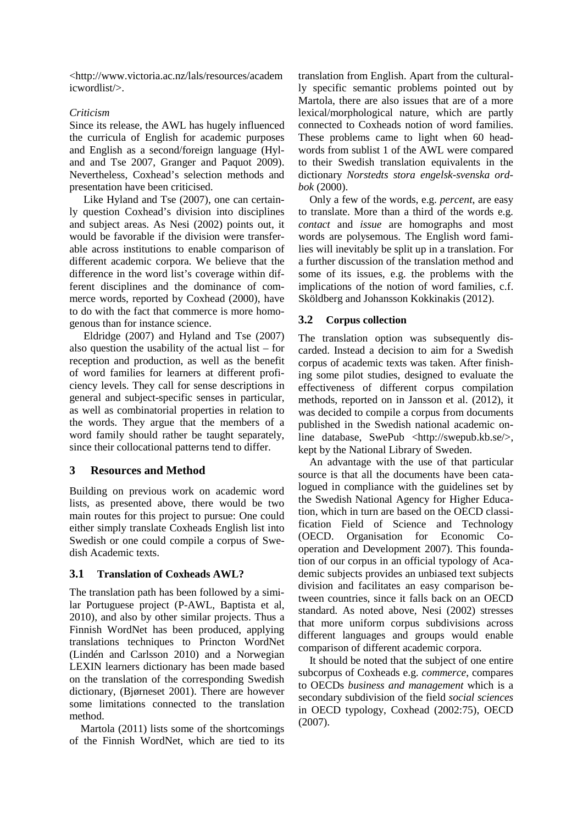<http://www.victoria.ac.nz/lals/resources/academ icwordlist/>.

## *Criticism*

Since its release, the AWL has hugely influenced the curricula of English for academic purposes and English as a second/foreign language (Hyland and Tse 2007, Granger and Paquot 2009). Nevertheless, Coxhead's selection methods and presentation have been criticised.

Like Hyland and Tse (2007), one can certainly question Coxhead's division into disciplines and subject areas. As Nesi (2002) points out, it would be favorable if the division were transferable across institutions to enable comparison of different academic corpora. We believe that the difference in the word list's coverage within different disciplines and the dominance of commerce words, reported by Coxhead (2000), have to do with the fact that commerce is more homogenous than for instance science.

Eldridge (2007) and Hyland and Tse (2007) also question the usability of the actual list – for reception and production, as well as the benefit of word families for learners at different proficiency levels. They call for sense descriptions in general and subject-specific senses in particular, as well as combinatorial properties in relation to the words. They argue that the members of a word family should rather be taught separately, since their collocational patterns tend to differ.

## **3 Resources and Method**

Building on previous work on academic word lists, as presented above, there would be two main routes for this project to pursue: One could either simply translate Coxheads English list into Swedish or one could compile a corpus of Swedish Academic texts.

## **3.1 Translation of Coxheads AWL?**

The translation path has been followed by a similar Portuguese project (P-AWL, Baptista et al, 2010), and also by other similar projects. Thus a Finnish WordNet has been produced, applying translations techniques to Princton WordNet (Lindén and Carlsson 2010) and a Norwegian LEXIN learners dictionary has been made based on the translation of the corresponding Swedish dictionary, (Bjørneset 2001). There are however some limitations connected to the translation method.

Martola (2011) lists some of the shortcomings of the Finnish WordNet, which are tied to its

translation from English. Apart from the culturally specific semantic problems pointed out by Martola, there are also issues that are of a more lexical/morphological nature, which are partly connected to Coxheads notion of word families. These problems came to light when 60 headwords from sublist 1 of the AWL were compared to their Swedish translation equivalents in the dictionary *Norstedts stora engelsk-svenska ordbok* (2000).

Only a few of the words, e.g. *percent*, are easy to translate. More than a third of the words e.g. *contact* and *issue* are homographs and most words are polysemous. The English word families will inevitably be split up in a translation. For a further discussion of the translation method and some of its issues, e.g. the problems with the implications of the notion of word families, c.f. Sköldberg and Johansson Kokkinakis (2012).

## **3.2 Corpus collection**

The translation option was subsequently discarded. Instead a decision to aim for a Swedish corpus of academic texts was taken. After finishing some pilot studies, designed to evaluate the effectiveness of different corpus compilation methods, reported on in Jansson et al. (2012), it was decided to compile a corpus from documents published in the Swedish national academic online database, SwePub <http://swepub.kb.se/>, kept by the National Library of Sweden.

An advantage with the use of that particular source is that all the documents have been catalogued in compliance with the guidelines set by the Swedish National Agency for Higher Education, which in turn are based on the OECD classification Field of Science and Technology (OECD. Organisation for Economic Cooperation and Development 2007). This foundation of our corpus in an official typology of Academic subjects provides an unbiased text subjects division and facilitates an easy comparison between countries, since it falls back on an OECD standard. As noted above, Nesi (2002) stresses that more uniform corpus subdivisions across different languages and groups would enable comparison of different academic corpora.

It should be noted that the subject of one entire subcorpus of Coxheads e.g. *commerce*, compares to OECDs *business and management* which is a secondary subdivision of the field *social sciences* in OECD typology, Coxhead (2002:75), OECD (2007).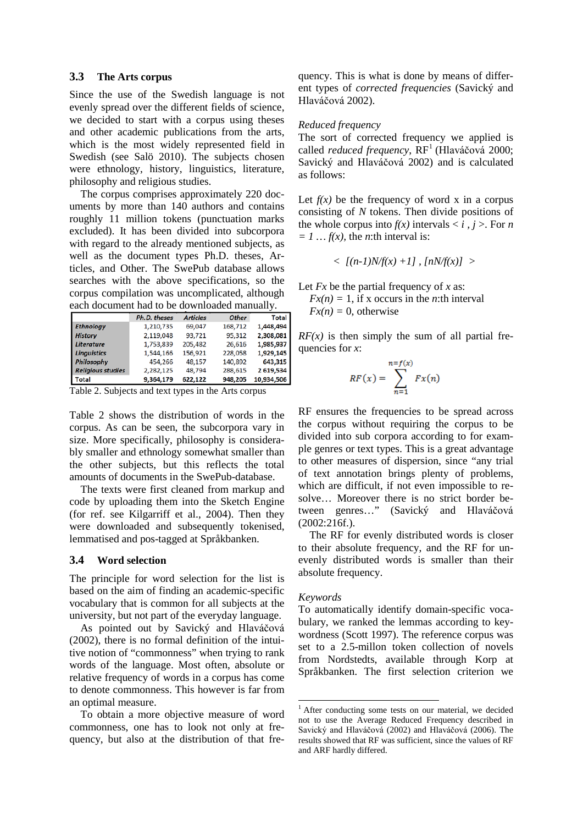#### **3.3 The Arts corpus**

Since the use of the Swedish language is not evenly spread over the different fields of science, we decided to start with a corpus using theses and other academic publications from the arts, which is the most widely represented field in Swedish (see Salö 2010). The subjects chosen were ethnology, history, linguistics, literature, philosophy and religious studies.

The corpus comprises approximately 220 documents by more than 140 authors and contains roughly 11 million tokens (punctuation marks excluded). It has been divided into subcorpora with regard to the already mentioned subjects, as well as the document types Ph.D. theses, Articles, and Other. The SwePub database allows searches with the above specifications, so the corpus compilation was uncomplicated, although each document had to be downloaded manually.

|                          | Ph.D. theses | <b>Articles</b> | <b>Other</b> | <b>Total</b> |  |
|--------------------------|--------------|-----------------|--------------|--------------|--|
| <b>Ethnology</b>         | 1,210,735    | 69,047          | 168,712      | 1,448,494    |  |
| <b>History</b>           | 2,119,048    | 93,721          | 95,312       | 2,308,081    |  |
| <b>Literature</b>        | 1,753,839    | 205,482         | 26.616       | 1.985.937    |  |
| <b>Linguistics</b>       | 1.544.166    | 156.921         | 228,058      | 1.929.145    |  |
| Philosophy               | 454,266      | 48,157          | 140,892      | 643,315      |  |
| <b>Religious studies</b> | 2,282,125    | 48,794          | 288,615      | 2 619,534    |  |
| <b>Total</b>             | 9,364,179    | 622,122         | 948,205      | 10,934,506   |  |

Table 2. Subjects and text types in the Arts corpus

Table 2 shows the distribution of words in the corpus. As can be seen, the subcorpora vary in size. More specifically, philosophy is considerably smaller and ethnology somewhat smaller than the other subjects, but this reflects the total amounts of documents in the SwePub-database.

The texts were first cleaned from markup and code by uploading them into the Sketch Engine (for ref. see Kilgarriff et al., 2004). Then they were downloaded and subsequently tokenised, lemmatised and pos-tagged at Språkbanken.

#### **3.4 Word selection**

The principle for word selection for the list is based on the aim of finding an academic-specific vocabulary that is common for all subjects at the university, but not part of the everyday language.

As pointed out by Savický and Hlaváčová (2002), there is no formal definition of the intuitive notion of "commonness" when trying to rank words of the language. Most often, absolute or relative frequency of words in a corpus has come to denote commonness. This however is far from an optimal measure.

<span id="page-3-0"></span>To obtain a more objective measure of word commonness, one has to look not only at frequency, but also at the distribution of that frequency. This is what is done by means of different types of *corrected frequencies* (Savický and Hlaváčová 2002).

#### *Reduced frequency*

The sort of corrected frequency we applied is called *reduced frequency*, RF<sup>[1](#page-3-0)</sup> (Hlaváčová 2000; Savický and Hlaváčová 2002) and is calculated as follows:

Let  $f(x)$  be the frequency of word x in a corpus consisting of *N* tokens. Then divide positions of the whole corpus into  $f(x)$  intervals  $\langle i, j \rangle$ . For *n*  $= 1$  ...  $f(x)$ , the *n*:th interval is:

$$
<[(n-1)N/f(x) +1], [nN/f(x)]>
$$

Let *Fx* be the partial frequency of *x* as:

 $Fx(n) = 1$ , if x occurs in the *n*:th interval  $Fx(n)=0$ , otherwise

 $RF(x)$  is then simply the sum of all partial frequencies for *x*:

$$
RF(x) = \sum_{n=1}^{n=f(x)} Fx(n)
$$

RF ensures the frequencies to be spread across the corpus without requiring the corpus to be divided into sub corpora according to for example genres or text types. This is a great advantage to other measures of dispersion, since "any trial of text annotation brings plenty of problems, which are difficult, if not even impossible to resolve… Moreover there is no strict border between genres…" (Savický and Hlaváčová (2002:216f.).

The RF for evenly distributed words is closer to their absolute frequency, and the RF for unevenly distributed words is smaller than their absolute frequency.

#### *Keywords*

To automatically identify domain-specific vocabulary, we ranked the lemmas according to keywordness (Scott 1997). The reference corpus was set to a 2.5-millon token collection of novels from Nordstedts, available through Korp at Språkbanken. The first selection criterion we

<sup>&</sup>lt;sup>1</sup> After conducting some tests on our material, we decided not to use the Average Reduced Frequency described in Savický and Hlaváčová (2002) and Hlaváčová (2006). The results showed that RF was sufficient, since the values of RF and ARF hardly differed.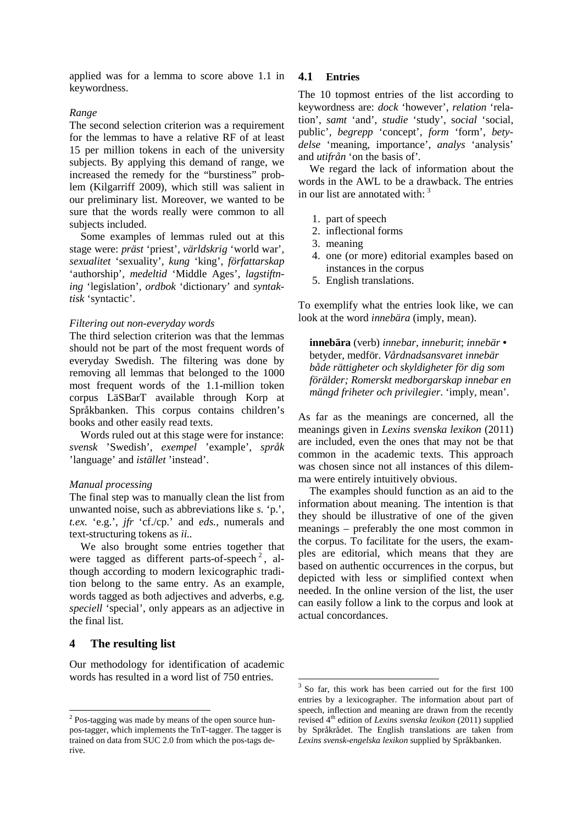applied was for a lemma to score above 1.1 in keywordness.

#### *Range*

The second selection criterion was a requirement for the lemmas to have a relative RF of at least 15 per million tokens in each of the university subjects. By applying this demand of range, we increased the remedy for the "burstiness" problem (Kilgarriff 2009), which still was salient in our preliminary list. Moreover, we wanted to be sure that the words really were common to all subjects included.

Some examples of lemmas ruled out at this stage were: *präst* 'priest'*, världskrig* 'world war'*, sexualitet* 'sexuality'*, kung* 'king', *författarskap* 'authorship'*, medeltid* 'Middle Ages'*, lagstiftning* 'legislation'*, ordbok* 'dictionary' and *syntaktisk* 'syntactic'.

#### *Filtering out non-everyday words*

The third selection criterion was that the lemmas should not be part of the most frequent words of everyday Swedish. The filtering was done by removing all lemmas that belonged to the 1000 most frequent words of the 1.1-million token corpus LäSBarT available through Korp at Språkbanken. This corpus contains children's books and other easily read texts.

Words ruled out at this stage were for instance: *svensk* 'Swedish', *exempel* 'example', *språk* 'language' and *istället* 'instead'.

#### *Manual processing*

The final step was to manually clean the list from unwanted noise, such as abbreviations like *s.* 'p.', *t.ex.* 'e.g.', *jfr* 'cf./cp.' and *eds.*, numerals and text-structuring tokens as *ii..*

We also brought some entries together that were tagged as different parts-of-speech<sup>[2](#page-4-0)</sup>, although according to modern lexicographic tradition belong to the same entry. As an example, words tagged as both adjectives and adverbs, e.g. *speciell* 'special', only appears as an adjective in the final list.

### **4 The resulting list**

<span id="page-4-1"></span>Our methodology for identification of academic words has resulted in a word list of 750 entries.

#### **4.1 Entries**

The 10 topmost entries of the list according to keywordness are: *dock* 'however', *relation* 'relation', *samt* 'and', *studie* 'study', s*ocial* 'social, public'*, begrepp* 'concept', *form* 'form', *betydelse* 'meaning, importance', *analys* 'analysis' and *utifrån* 'on the basis of'*.*

We regard the lack of information about the words in the AWL to be a drawback. The entries in our list are annotated with: <sup>[3](#page-4-1)</sup>

- 1. part of speech
- 2. inflectional forms
- 3. meaning
- 4. one (or more) editorial examples based on instances in the corpus
- 5. English translations.

To exemplify what the entries look like, we can look at the word *innebära* (imply, mean).

**innebära** (verb) *innebar*, *inneburit*; *innebär •*  betyder, medför. *Vårdnadsansvaret innebär både rättigheter och skyldigheter för dig som förälder; Romerskt medborgarskap innebar en mängd friheter och privilegier*. 'imply, mean'.

As far as the meanings are concerned, all the meanings given in *Lexins svenska lexikon* (2011) are included, even the ones that may not be that common in the academic texts. This approach was chosen since not all instances of this dilemma were entirely intuitively obvious.

The examples should function as an aid to the information about meaning. The intention is that they should be illustrative of one of the given meanings – preferably the one most common in the corpus. To facilitate for the users, the examples are editorial, which means that they are based on authentic occurrences in the corpus, but depicted with less or simplified context when needed. In the online version of the list, the user can easily follow a link to the corpus and look at actual concordances.

<span id="page-4-0"></span><sup>&</sup>lt;sup>2</sup> Pos-tagging was made by means of the open source hunpos-tagger, which implements the TnT-tagger. The tagger is trained on data from SUC 2.0 from which the pos-tags derive.

 <sup>3</sup> So far, this work has been carried out for the first 100 entries by a lexicographer. The information about part of speech, inflection and meaning are drawn from the recently revised 4<sup>th</sup> edition of *Lexins svenska lexikon* (2011) supplied by Språkrådet. The English translations are taken from *Lexins svensk-engelska lexikon* supplied by Språkbanken.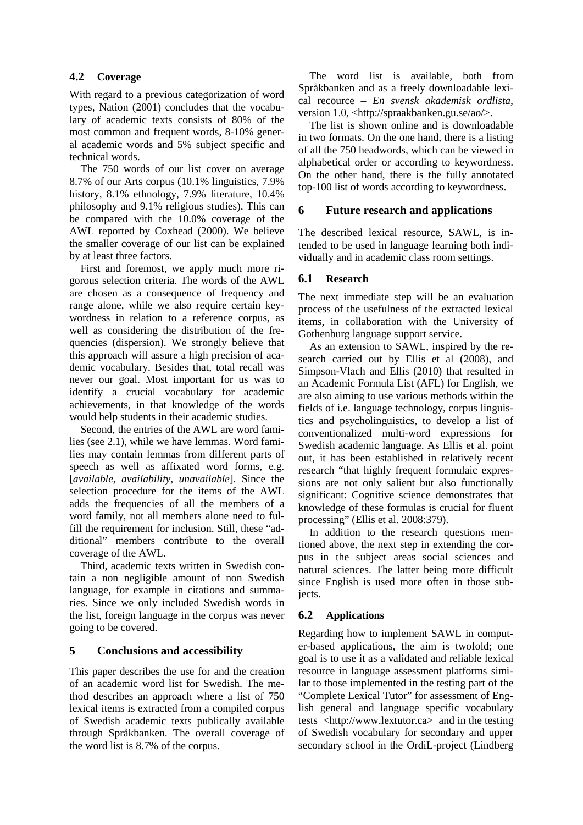## **4.2 Coverage**

With regard to a previous categorization of word types, Nation (2001) concludes that the vocabulary of academic texts consists of 80% of the most common and frequent words, 8-10% general academic words and 5% subject specific and technical words.

The 750 words of our list cover on average 8.7% of our Arts corpus (10.1% linguistics, 7.9% history, 8.1% ethnology, 7.9% literature, 10.4% philosophy and 9.1% religious studies). This can be compared with the 10.0% coverage of the AWL reported by Coxhead (2000). We believe the smaller coverage of our list can be explained by at least three factors.

First and foremost, we apply much more rigorous selection criteria. The words of the AWL are chosen as a consequence of frequency and range alone, while we also require certain keywordness in relation to a reference corpus, as well as considering the distribution of the frequencies (dispersion). We strongly believe that this approach will assure a high precision of academic vocabulary. Besides that, total recall was never our goal. Most important for us was to identify a crucial vocabulary for academic achievements, in that knowledge of the words would help students in their academic studies.

Second, the entries of the AWL are word families (see 2.1), while we have lemmas. Word families may contain lemmas from different parts of speech as well as affixated word forms, e.g. [*available, availability, unavailable*]. Since the selection procedure for the items of the AWL adds the frequencies of all the members of a word family, not all members alone need to fulfill the requirement for inclusion. Still, these "additional" members contribute to the overall coverage of the AWL.

Third, academic texts written in Swedish contain a non negligible amount of non Swedish language, for example in citations and summaries. Since we only included Swedish words in the list, foreign language in the corpus was never going to be covered.

## **5 Conclusions and accessibility**

This paper describes the use for and the creation of an academic word list for Swedish. The method describes an approach where a list of 750 lexical items is extracted from a compiled corpus of Swedish academic texts publically available through Språkbanken. The overall coverage of the word list is 8.7% of the corpus.

The word list is available, both from Språkbanken and as a freely downloadable lexical recource – *En svensk akademisk ordlista*, version 1.0, <http://spraakbanken.gu.se/ao/>.

The list is shown online and is downloadable in two formats. On the one hand, there is a listing of all the 750 headwords, which can be viewed in alphabetical order or according to keywordness. On the other hand, there is the fully annotated top-100 list of words according to keywordness.

## **6 Future research and applications**

The described lexical resource, SAWL, is intended to be used in language learning both individually and in academic class room settings.

## **6.1 Research**

The next immediate step will be an evaluation process of the usefulness of the extracted lexical items, in collaboration with the University of Gothenburg language support service.

As an extension to SAWL, inspired by the research carried out by Ellis et al (2008), and Simpson-Vlach and Ellis (2010) that resulted in an Academic Formula List (AFL) for English, we are also aiming to use various methods within the fields of i.e. language technology, corpus linguistics and psycholinguistics, to develop a list of conventionalized multi-word expressions for Swedish academic language. As Ellis et al. point out, it has been established in relatively recent research "that highly frequent formulaic expressions are not only salient but also functionally significant: Cognitive science demonstrates that knowledge of these formulas is crucial for fluent processing" (Ellis et al. 2008:379).

In addition to the research questions mentioned above, the next step in extending the corpus in the subject areas social sciences and natural sciences. The latter being more difficult since English is used more often in those subjects.

## **6.2 Applications**

Regarding how to implement SAWL in computer-based applications, the aim is twofold; one goal is to use it as a validated and reliable lexical resource in language assessment platforms similar to those implemented in the testing part of the "Complete Lexical Tutor" for assessment of English general and language specific vocabulary tests <http://www.lextutor.ca> and in the testing of Swedish vocabulary for secondary and upper secondary school in the OrdiL-project (Lindberg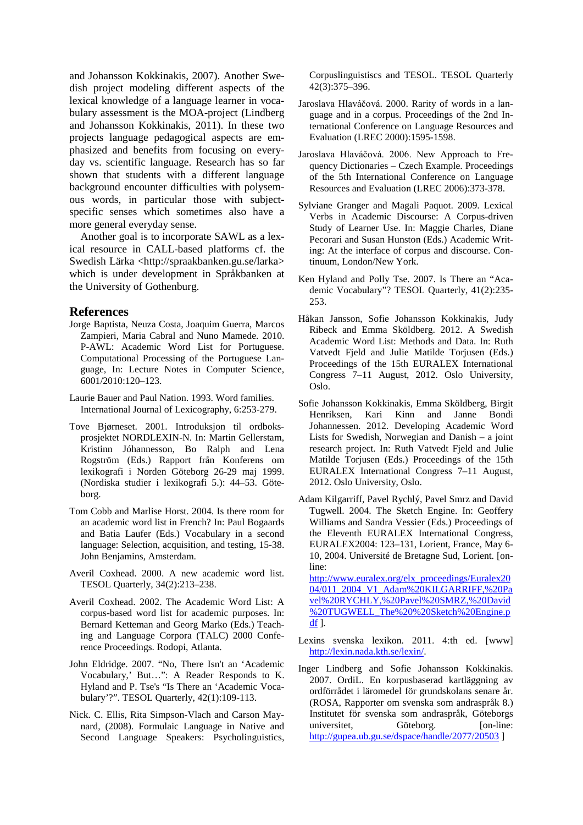and Johansson Kokkinakis, 2007). Another Swedish project modeling different aspects of the lexical knowledge of a language learner in vocabulary assessment is the MOA-project (Lindberg and Johansson Kokkinakis, 2011). In these two projects language pedagogical aspects are emphasized and benefits from focusing on everyday vs. scientific language. Research has so far shown that students with a different language background encounter difficulties with polysemous words, in particular those with subjectspecific senses which sometimes also have a more general everyday sense.

Another goal is to incorporate SAWL as a lexical resource in CALL-based platforms cf. the Swedish Lärka <http://spraakbanken.gu.se/larka> which is under development in Språkbanken at the University of Gothenburg.

#### **References**

- Jorge Baptista, Neuza Costa, Joaquim Guerra, Marcos Zampieri, Maria Cabral and Nuno Mamede. 2010. P-AWL: Academic Word List for Portuguese. Computational Processing of the Portuguese Language, In: Lecture Notes in Computer Science, 6001/2010:120–123.
- Laurie Bauer and Paul Nation. 1993. Word families. International Journal of Lexicography, 6:253-279.
- Tove Bjørneset. 2001. Introduksjon til ordboksprosjektet NORDLEXIN-N. In: Martin Gellerstam, Kristinn Jóhannesson, Bo Ralph and Lena Rogström (Eds.) Rapport från Konferens om lexikografi i Norden Göteborg 26-29 maj 1999. (Nordiska studier i lexikografi 5.): 44–53. Göteborg.
- Tom Cobb and Marlise Horst. 2004. Is there room for an academic word list in French? In: Paul Bogaards and Batia Laufer (Eds.) Vocabulary in a second language: Selection, acquisition, and testing, 15-38. John Benjamins, Amsterdam.
- Averil Coxhead. 2000. A new academic word list. TESOL Quarterly, 34(2):213–238.
- Averil Coxhead. 2002. The Academic Word List: A corpus-based word list for academic purposes. In: Bernard Ketteman and Georg Marko (Eds.) Teaching and Language Corpora (TALC) 2000 Conference Proceedings. Rodopi, Atlanta.
- John Eldridge. 2007. "No, There Isn't an 'Academic Vocabulary,' But…": A Reader Responds to K. Hyland and P. Tse's "Is There an 'Academic Vocabulary'?". TESOL Quarterly, 42(1):109-113.
- Nick. C. Ellis, Rita Simpson-Vlach and Carson Maynard, (2008). Formulaic Language in Native and Second Language Speakers: Psycholinguistics,

Corpuslinguistiscs and TESOL. TESOL Quarterly 42(3):375–396.

- Jaroslava Hlaváčová. 2000. Rarity of words in a language and in a corpus. Proceedings of the 2nd International Conference on Language Resources and Evaluation (LREC 2000):1595-1598.
- Jaroslava Hlaváčová. 2006. New Approach to Frequency Dictionaries – Czech Example. Proceedings of the 5th International Conference on Language Resources and Evaluation (LREC 2006):373-378.
- Sylviane Granger and Magali Paquot. 2009. Lexical Verbs in Academic Discourse: A Corpus-driven Study of Learner Use. In: Maggie Charles, Diane Pecorari and Susan Hunston (Eds.) Academic Writing: At the interface of corpus and discourse. Continuum, London/New York.

Ken Hyland and Polly Tse. 2007. Is There an "Academic Vocabulary"? TESOL Quarterly, 41(2):235- 253.

- Håkan Jansson, Sofie Johansson Kokkinakis, Judy Ribeck and Emma Sköldberg. 2012. A Swedish Academic Word List: Methods and Data. In: Ruth Vatvedt Fjeld and Julie Matilde Torjusen (Eds.) Proceedings of the 15th EURALEX International Congress 7–11 August, 2012. Oslo University, Oslo.
- Sofie Johansson Kokkinakis, Emma Sköldberg, Birgit Henriksen, Kari Kinn and Janne Bondi Johannessen. 2012. Developing Academic Word Lists for Swedish, Norwegian and Danish – a joint research project. In: Ruth Vatvedt Fjeld and Julie Matilde Torjusen (Eds.) Proceedings of the 15th EURALEX International Congress 7–11 August, 2012. Oslo University, Oslo.
- Adam Kilgarriff, Pavel Rychlý, Pavel Smrz and David Tugwell. 2004. The Sketch Engine. In: Geoffery Williams and Sandra Vessier (Eds.) Proceedings of the Eleventh EURALEX International Congress, EURALEX2004: 123–131, Lorient, France, May 6- 10, 2004. Université de Bretagne Sud, Lorient. [online:

[http://www.euralex.org/elx\\_proceedings/Euralex20](http://www.euralex.org/elx_proceedings/Euralex2004/011_2004_V1_Adam%20KILGARRIFF,%20Pavel%20RYCHLY,%20Pavel%20SMRZ,%20David%20TUGWELL_The%20%20Sketch%20Engine.pdf) [04/011\\_2004\\_V1\\_Adam%20KILGARRIFF,%20Pa](http://www.euralex.org/elx_proceedings/Euralex2004/011_2004_V1_Adam%20KILGARRIFF,%20Pavel%20RYCHLY,%20Pavel%20SMRZ,%20David%20TUGWELL_The%20%20Sketch%20Engine.pdf) [vel%20RYCHLY,%20Pavel%20SMRZ,%20David](http://www.euralex.org/elx_proceedings/Euralex2004/011_2004_V1_Adam%20KILGARRIFF,%20Pavel%20RYCHLY,%20Pavel%20SMRZ,%20David%20TUGWELL_The%20%20Sketch%20Engine.pdf) [%20TUGWELL\\_The%20%20Sketch%20Engine.p](http://www.euralex.org/elx_proceedings/Euralex2004/011_2004_V1_Adam%20KILGARRIFF,%20Pavel%20RYCHLY,%20Pavel%20SMRZ,%20David%20TUGWELL_The%20%20Sketch%20Engine.pdf)  $df$ ].

- Lexins svenska lexikon. 2011. 4:th ed. [www] [http://lexin.nada.kth.se/lexin/.](http://lexin.nada.kth.se/lexin/)
- Inger Lindberg and Sofie Johansson Kokkinakis. 2007. OrdiL. En korpusbaserad kartläggning av ordförrådet i läromedel för grundskolans senare år. (ROSA, Rapporter om svenska som andraspråk 8.) Institutet för svenska som andraspråk, Göteborgs universitet, Göteborg. [on-line: <http://gupea.ub.gu.se/dspace/handle/2077/20503> ]